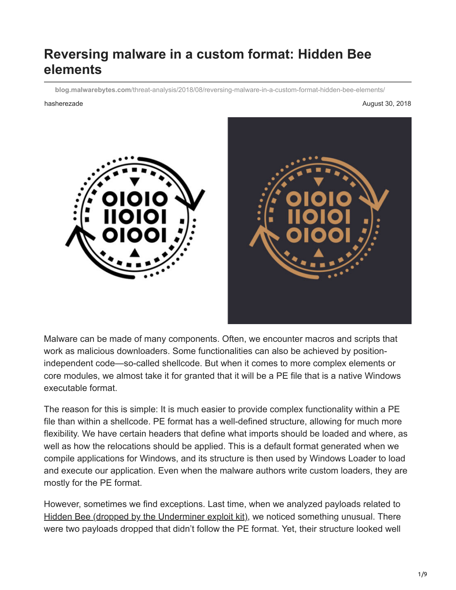# **Reversing malware in a custom format: Hidden Bee elements**

**blog.malwarebytes.com**[/threat-analysis/2018/08/reversing-malware-in-a-custom-format-hidden-bee-elements/](https://blog.malwarebytes.com/threat-analysis/2018/08/reversing-malware-in-a-custom-format-hidden-bee-elements/)

hasherezade August 30, 2018





Malware can be made of many components. Often, we encounter macros and scripts that work as malicious downloaders. Some functionalities can also be achieved by positionindependent code—so-called shellcode. But when it comes to more complex elements or core modules, we almost take it for granted that it will be a PE file that is a native Windows executable format.

The reason for this is simple: It is much easier to provide complex functionality within a PE file than within a shellcode. PE format has a well-defined structure, allowing for much more flexibility. We have certain headers that define what imports should be loaded and where, as well as how the relocations should be applied. This is a default format generated when we compile applications for Windows, and its structure is then used by Windows Loader to load and execute our application. Even when the malware authors write custom loaders, they are mostly for the PE format.

However, sometimes we find exceptions. Last time, when we analyzed payloads related to [Hidden Bee \(dropped by the Underminer exploit kit\)](https://blog.malwarebytes.com/threat-analysis/2018/07/hidden-bee-miner-delivered-via-improved-drive-by-download-toolkit/), we noticed something unusual. There were two payloads dropped that didn't follow the PE format. Yet, their structure looked well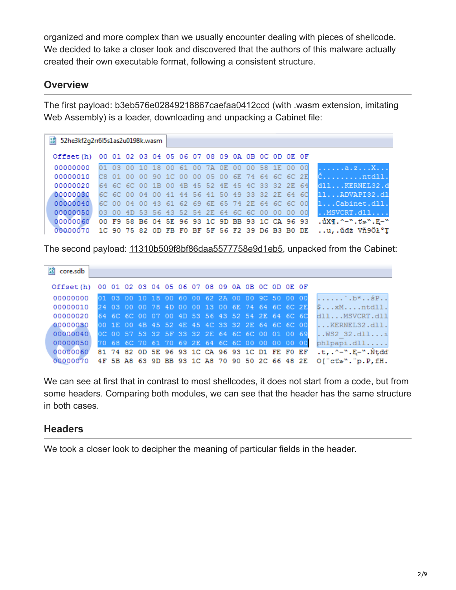organized and more complex than we usually encounter dealing with pieces of shellcode. We decided to take a closer look and discovered that the authors of this malware actually created their own executable format, following a consistent structure.

# **Overview**

The first payload: [b3eb576e02849218867caefaa0412ccd](https://www.virustotal.com/#/file/76b70f1dfd64958fca7ab3e18fffe6d551474c2b25aaa9515181dec6ae112895/details) (with .wasm extension, imitating Web Assembly) is a loader, downloading and unpacking a Cabinet file:

| 認 52he3kf2q2rr6l5s1as2u0198k.wasm                         |  |  |  |  |                                                 |  |  |  |  |  |  |                                                                |
|-----------------------------------------------------------|--|--|--|--|-------------------------------------------------|--|--|--|--|--|--|----------------------------------------------------------------|
| Offset(h) 00 01 02 03 04 05 06 07 08 09 0A 0B 0C 0D 0E 0F |  |  |  |  |                                                 |  |  |  |  |  |  |                                                                |
| 00000000                                                  |  |  |  |  | 01 03 00 10 18 00 61 00 7A 0E 00 00 58 1E 00 00 |  |  |  |  |  |  | a.zX                                                           |
| 00000010                                                  |  |  |  |  |                                                 |  |  |  |  |  |  | C8 01 00 00 90 1C 00 00 05 00 6E 74 64 6C 6C 2E <b>Cntdll.</b> |
| 00000020 64 6C 6C 00 1B 00 4B 45 52 4E 45 4C 33 32 2E 64  |  |  |  |  |                                                 |  |  |  |  |  |  | dllKERNEL32.d                                                  |
| 00000030                                                  |  |  |  |  | 6C 6C 00 04 00 41 44 56 41 50 49 33 32 2E 64 6C |  |  |  |  |  |  | 11ADVAPI32.dl                                                  |
| 00000040                                                  |  |  |  |  | 6C 00 04 00 43 61 62 69 6E 65 74 2E 64 6C 6C 00 |  |  |  |  |  |  | 1Cabinet.dll.                                                  |
| 00000050 03 00 4D 53 56 43 52 54 2E 64 6C 6C 00 00 00 00  |  |  |  |  |                                                 |  |  |  |  |  |  | $. .$ MSVCRT. $dl1$                                            |
| 00000060 00 F9 58 B6 04 5E 96 93 1C 9D BB 93 1C CA 96 93  |  |  |  |  |                                                 |  |  |  |  |  |  | $.\, \mathring{u}$ X¶.^-". $t$ »".E-"                          |
| 00000070                                                  |  |  |  |  | 1C 90 75 82 OD FB FO BF 5F 56 F2 39 D6 B3 B0 DE |  |  |  |  |  |  | u,.űdż Vň9Öł°T                                                 |

The second payload: [11310b509f8bf86daa5577758e9d1eb5,](https://www.virustotal.com/#/file/c1a6df241239359731c671203925a8265cf82a0c8c20c94d57a6a1ed09dec289/details) unpacked from the Cabinet:

| 58 core.sdb                                               |  |  |  |  |                                                 |  |  |  |                             |
|-----------------------------------------------------------|--|--|--|--|-------------------------------------------------|--|--|--|-----------------------------|
| Offset(h) 00 01 02 03 04 05 06 07 08 09 0A 0B 0C 0D 0E 0F |  |  |  |  |                                                 |  |  |  |                             |
| 00000000                                                  |  |  |  |  | 01 03 00 10 18 00 60 00 62 2A 00 00 9C 50 00 00 |  |  |  | $1.1.1.1.1$ $b*$ . $sP.1$   |
| 00000010                                                  |  |  |  |  | 24 03 00 00 78 4D 00 00 13 00 6E 74 64 6C 6C 2E |  |  |  | $s \ldots xM \ldots ntd11.$ |
| 00000020                                                  |  |  |  |  | 64 6C 6C 00 07 00 4D 53 56 43 52 54 2E 64 6C 6C |  |  |  | dllMSVCRT.dll               |
| 00000030                                                  |  |  |  |  | 00 1E 00 4B 45 52 4E 45 4C 33 32 2E 64 6C 6C 00 |  |  |  | KERNEL32.dll.               |
| 00000040                                                  |  |  |  |  | OC 00 57 53 32 5F 33 32 2E 64 6C 6C 00 01 00 69 |  |  |  | $NSS2$ 32.dlli              |
| 00000050                                                  |  |  |  |  | 70 68 6C 70 61 70 69 2E 64 6C 6C 00 00 00 00 00 |  |  |  | phlpapi.dll                 |
| 00000060 81 74 82 0D 5E 96 93 1C CA 96 93 1C D1 FE F0 EF  |  |  |  |  |                                                 |  |  |  | .t,.^-".E-".Ntdd"           |
| 00000070 4F 5B A8 63 9D BB 93 1C A8 70 90 50 2C 66 48 2E  |  |  |  |  |                                                 |  |  |  | $O['cts".$ p. $P$ , $fH$ .  |

We can see at first that in contrast to most shellcodes, it does not start from a code, but from some headers. Comparing both modules, we can see that the header has the same structure in both cases.

# **Headers**

We took a closer look to decipher the meaning of particular fields in the header.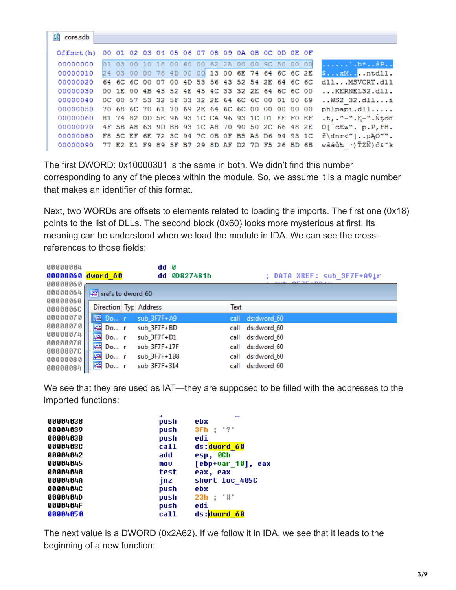| $F_8$<br>core.sdb                                         |                                                 |                                                 |  |  |  |  |  |  |                                                 |                                                                         |
|-----------------------------------------------------------|-------------------------------------------------|-------------------------------------------------|--|--|--|--|--|--|-------------------------------------------------|-------------------------------------------------------------------------|
| Offset(h) 00 01 02 03 04 05 06 07 08 09 0A 0B 0C 0D 0E 0F |                                                 |                                                 |  |  |  |  |  |  |                                                 |                                                                         |
| 00000000                                                  |                                                 | 01 03 00 10 18 00 60 00 62 2A 00 00 9C 50 00 00 |  |  |  |  |  |  |                                                 | $\ldots \ldots \ldots$ b* $\frac{1}{2}P\ldots$                          |
| 00000010                                                  |                                                 |                                                 |  |  |  |  |  |  | 24 03 00 00 78 4D 00 00 13 00 6E 74 64 6C 6C 2E | $$xM$ .ntdll.                                                           |
| 00000020                                                  | 64 6C 6C 00 07 00 4D 53 56 43 52 54 2E 64 6C 6C |                                                 |  |  |  |  |  |  |                                                 | dl1MSVCRT.d11                                                           |
| 00000030                                                  | 00 1E 00 4B 45 52 4E 45 4C 33 32 2E 64 6C 6C 00 |                                                 |  |  |  |  |  |  |                                                 | KERNEL32.dll.                                                           |
|                                                           |                                                 |                                                 |  |  |  |  |  |  |                                                 | 00000040 0C 00 57 53 32 5F 33 32 2E 64 6C 6C 00 01 00 69 WS2 32.dlli    |
| 00000050                                                  | 70 68 6C 70 61 70 69 2E 64 6C 6C 00 00 00 00 00 |                                                 |  |  |  |  |  |  |                                                 | phlpapi.dll                                                             |
| 00000060                                                  | 81 74 82 OD 5E 96 93 1C CA 96 93 1C D1 FE FO EF |                                                 |  |  |  |  |  |  |                                                 | .t,.^-".E-".Ńtdď                                                        |
| 00000070                                                  | 4F 5B A8 63 9D BB 93 1C A8 70 90 50 2C 66 48 2E |                                                 |  |  |  |  |  |  |                                                 | $O['ct*".$ p. $P$ , $fH$ .                                              |
|                                                           |                                                 |                                                 |  |  |  |  |  |  |                                                 | 00000080 F8 5C EF 6E 72 3C 94 7C 0B 0F B5 A5 D6 94 93 1C ř\dnr<" uAO"". |
| 00000090                                                  | 77 E2 E1 F9 89 5F B7 29 8D AF D2 7D F5 26 BD 6B |                                                 |  |  |  |  |  |  |                                                 | wâáů‰ ·)ŤŻŇ}ő&″k                                                        |

The first DWORD: 0x10000301 is the same in both. We didn't find this number corresponding to any of the pieces within the module. So, we assume it is a magic number that makes an identifier of this format.

Next, two WORDs are offsets to elements related to loading the imports. The first one (0x18) points to the list of DLLs. The second block (0x60) looks more mysterious at first. Its meaning can be understood when we load the module in IDA. We can see the crossreferences to those fields:

| 00000004             |                       | dd 0         |                                   |
|----------------------|-----------------------|--------------|-----------------------------------|
| 00000060 dword 60    |                       | dd 0D827481h | <b>; DATA XREF: sub 3F7F+A91r</b> |
| 00000060             |                       |              | OFFERD NAME                       |
| 00000064             | xrefs to dword_60     |              |                                   |
| 00000068             | Direction Typ Address |              | Text                              |
| 0000006C             |                       |              |                                   |
| 00000070             | Do r                  | sub 3F7F+A9  | call ds:dword 60                  |
| 00000070             | 嚁<br>$Do$ r           | sub 3F7F+BD  | call ds:dword 60                  |
| 00000074             | 嘴<br>$Do$ r           | sub 3F7F+D1  | call ds:dword 60                  |
| 00000078<br>0000007C | 嚁<br>$Do$ r           | sub_3F7F+17F | call ds:dword 60                  |
| 00000080             | 嘴<br>$Do$ r           | sub_3F7F+1B8 | ds:dword 60<br>call               |
| 00000084             | <b>VER</b><br>$Do$ r  | sub_3F7F+314 | ds:dword 60<br>call               |

We see that they are used as IAT—they are supposed to be filled with the addresses to the imported functions:

|          | ÷    |                   |
|----------|------|-------------------|
| 00004038 | push | ebx               |
| 00004039 | push | 3Fh : '?'         |
| 0000403B | push | edi               |
| 0000403C | call | ds:dword 60       |
| 00004042 | add  | esp, OCh          |
| 00004045 | mov  | [ebp+var_10], eax |
| 00004048 | test | eax, eax          |
| 0000404A | jnz  | short loc 405C    |
| 00004040 | push | ebx               |
| 0000404D | push | 23h : '#'         |
| 0000404F | push | edi               |
| 00004050 | call | ds:dword 60       |
|          |      |                   |

The next value is a DWORD (0x2A62). If we follow it in IDA, we see that it leads to the beginning of a new function: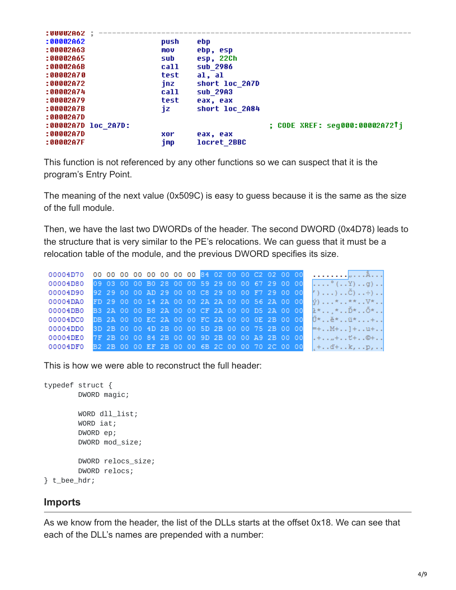| :UUUUZA62 :         |      |                |                                |
|---------------------|------|----------------|--------------------------------|
| : 00002062          | push | ebp            |                                |
| :00002A63           | mov  | ebp, esp       |                                |
| :00002A65           | sub  | esp, 22Ch      |                                |
| :00002A6B           | call | sub 2986       |                                |
| :00002A70           | test | al, al         |                                |
| :00002A72           | inz  | short loc 2A7D |                                |
| :00002A74           | call | sub 29A3       |                                |
| :00002A79           | test | eax, eax       |                                |
| :00002A7B           | jz   | short loc 2A84 |                                |
| :00002A7D           |      |                |                                |
| :00002A7D loc 2A7D: |      |                | ; CODE XREF: seg000:00002A72Ti |
| :00002A7D           | xor  | eax, eax       |                                |
| :00002A7F           | imp  | locret 2BBC    |                                |
|                     |      |                |                                |

This function is not referenced by any other functions so we can suspect that it is the program's Entry Point.

The meaning of the next value (0x509C) is easy to guess because it is the same as the size of the full module.

Then, we have the last two DWORDs of the header. The second DWORD (0x4D78) leads to the structure that is very similar to the PE's relocations. We can guess that it must be a relocation table of the module, and the previous DWORD specifies its size.

| 00004D80 |  |  |  |  | 09 03 00 00 B0 28 00 00 59 29 00 00 67 29 00 00 |  |  |  | $\ldots$ $\degree$ ( Y) g)                                                                    |
|----------|--|--|--|--|-------------------------------------------------|--|--|--|-----------------------------------------------------------------------------------------------|
| 00004D90 |  |  |  |  | 92 29 00 00 AD 29 00 00 C8 29 00 00 F7 29 00 00 |  |  |  | $\langle \cdot   \ldots   \ldots \rangle \ldots \check{C} \rangle \ldots \hat{\div}   \ldots$ |
| 00004DA0 |  |  |  |  | FD 29 00 00 14 2A 00 00 2A 2A 00 00 56 2A 00 00 |  |  |  | ý)***V*                                                                                       |
| 00004DB0 |  |  |  |  | B3 2A 00 00 B8 2A 00 00 CF 2A 00 00 D5 2A 00 00 |  |  |  | ł**Ď*Ő*                                                                                       |
| 00004DC0 |  |  |  |  | DB 2A 00 00 EC 2A 00 00 FC 2A 00 00 0E 2B 00 00 |  |  |  | Ű*ĕ*ü*+                                                                                       |
| 00004DD0 |  |  |  |  | 3D 2B 00 00 4D 2B 00 00 5D 2B 00 00 75 2B 00 00 |  |  |  | $= +$ $M +$ $] +$ $u +$                                                                       |
| 00004DE0 |  |  |  |  | 7F 2B 00 00 84 2B 00 00 9D 2B 00 00 A9 2B 00 00 |  |  |  | $. + , + + \odot +$                                                                           |
| 00004DF0 |  |  |  |  | B2 2B 00 00 EF 2B 00 00 6B 2C 00 00 70 2C 00 00 |  |  |  | $+ \cdot d + \cdot k$ , $\cdot p$ , $\cdot \cdot$                                             |

This is how we were able to reconstruct the full header:

```
typedef struct {
        DWORD magic;
        WORD dll_list;
        WORD iat;
        DWORD ep;
        DWORD mod_size;
        DWORD relocs_size;
        DWORD relocs;
} t_bee_hdr;
```
#### **Imports**

As we know from the header, the list of the DLLs starts at the offset 0x18. We can see that each of the DLL's names are prepended with a number: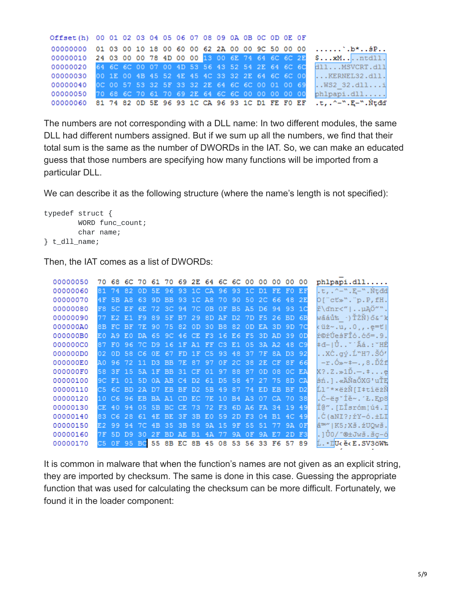| Offset(h) 00 01 02 03 04 05 06 07 08 09 0A 0B 0C 0D 0E 0F |  |  |  |  |  |  |  |  |                                                                             |
|-----------------------------------------------------------|--|--|--|--|--|--|--|--|-----------------------------------------------------------------------------|
|                                                           |  |  |  |  |  |  |  |  | 00000000 01 03 00 10 18 00 60 00 62 2A 00 00 9C 50 00 00 b*\$P              |
|                                                           |  |  |  |  |  |  |  |  | 00000010 24 03 00 00 78 4D 00 00 13 00 6E 74 64 6C 6C 2E \$ xM ntdll.       |
|                                                           |  |  |  |  |  |  |  |  | 00000020 64 6C 6C 00 07 00 4D 53 56 43 52 54 2E 64 6C 6C 811 MSVCRT.dll     |
|                                                           |  |  |  |  |  |  |  |  | 00000030 00 1E 00 4B 45 52 4E 45 4C 33 32 2E 64 6C 6C 00  KERNEL32.dll.     |
|                                                           |  |  |  |  |  |  |  |  | 00000040 0C 00 57 53 32 5F 33 32 2E 64 6C 6C 00 01 00 69 WS2 32.dlli        |
|                                                           |  |  |  |  |  |  |  |  | 00000050 70 68 6C 70 61 70 69 2E 64 6C 6C 00 00 00 00 00 phlpapi.dll        |
|                                                           |  |  |  |  |  |  |  |  | 00000060 81 74 82 0D 5E 96 93 1C CA 96 93 1C D1 FE F0 EF .t, .^-".E-".Ntdd' |

The numbers are not corresponding with a DLL name: In two different modules, the same DLL had different numbers assigned. But if we sum up all the numbers, we find that their total sum is the same as the number of DWORDs in the IAT. So, we can make an educated guess that those numbers are specifying how many functions will be imported from a particular DLL.

We can describe it as the following structure (where the name's length is not specified):

```
typedef struct {
        WORD func_count;
        char name;
} t_dll_name;
```
Then, the IAT comes as a list of DWORDs:

| 00000050 |  |  |  |  |  | 70 68 6C 70 61 70 69 2E 64 6C 6C 00 00 00 00 00 |  |       |              | phlpapi.dll                               |
|----------|--|--|--|--|--|-------------------------------------------------|--|-------|--------------|-------------------------------------------|
| 00000060 |  |  |  |  |  | 81 74 82 OD 5E 96 93 1C CA 96 93 1C D1 FE FO EF |  |       |              | .t, .^-".E-".Ntdd                         |
| 00000070 |  |  |  |  |  | 4F 5B A8 63 9D BB 93 1C A8 70 90 50 2C 66 48 2E |  |       |              | O["ct»"."p.P,fH.                          |
| 00000080 |  |  |  |  |  | F8 5C EF 6E 72 3C 94 7C 0B 0F B5 A5 D6 94 93 1C |  |       |              | ř\dnr<"   µĄÖ"".                          |
| 00000090 |  |  |  |  |  | 77 E2 E1 F9 89 5F B7 29 8D AF D2 7D F5 26 BD 6B |  |       |              | wâáů‰ ·)ŤŽŇ}ő&″k                          |
| 000000A0 |  |  |  |  |  | 8B FC BF 7E 90 75 82 0D 30 B8 82 0D EA 3D 9D 7C |  |       |              | <üż~.u, .0, , .e=t                        |
| 000000B0 |  |  |  |  |  | EO A9 EO DA 65 9C 46 CE F3 16 E6 F5 3D AD 39 OD |  |       |              | ŕ©ŕÚeśFĨó.ćő=.9.                          |
| 000000C0 |  |  |  |  |  | 87 F0 96 7C D9 16 1F A1 FF C3 E1 05 3A A2 48 C9 |  |       |              | ‡đ− Ů~ Ăá.:~HÉ                            |
| 000000D0 |  |  |  |  |  | 02 OD 58 C6 OE 67 FD 1F C5 93 48 37 7F 8A D3 92 |  |       |              | . XC. qy. I''H7. S0'                      |
| 000000E0 |  |  |  |  |  | A0 96 72 11 D3 BB 7E 87 97 OF 2C 38 2E CF 8F 66 |  |       |              | $-r.\,6*+-.78.\nD2f$                      |
| 000000F0 |  |  |  |  |  | 58 3F 15 5A 1F BB 31 CF 01 97 88 87 0D 08 OC EA |  |       |              | $X?\,.\,Z.\gg1\,\v{D}.\,-.\,\pm\,. \,.$ e |
| 00000100 |  |  |  |  |  | 9C F1 01 5D 0A AB C4 D2 61 D5 58 47 27 75 8D CA |  |       |              | śń.].«ÄŇaŐXG'uŤE                          |
| 00000110 |  |  |  |  |  | C5 6C BD 2A D7 EB BF D2 5B 49 87 74 ED EB BF D2 |  |       |              | Ĺl″*×ëżŇ[I‡tiëżŇ                          |
| 00000120 |  |  |  |  |  | 10 C6 96 EB BA A1 CD EC 7E 10 B4 A3 07 CA 70 38 |  |       |              | .C-ës iě~. L.Ep8                          |
| 00000130 |  |  |  |  |  | CE 40 94 05 5B BC CE 73 72 F3 6D A6 FA 34 19 49 |  |       |              | Î@".[LÎsróm¦ú4.I                          |
| 00000140 |  |  |  |  |  | 83 C6 28 61 4E BE 3F 3B E0 59 2D F3 04 B1 4C 49 |  |       |              | .Č(aNľ?;ŕY-ó.±LI                          |
| 00000150 |  |  |  |  |  | E2 99 94 7C 4B 35 3B 58 9A 15 9F 55 51 77       |  |       | <b>94 OF</b> | â™" K5:Xš.źUOwš.                          |
| 00000160 |  |  |  |  |  | 7F 5D D9 30 2F BD AE B1 4A 77 9A OF 9A E7       |  | 2D F3 |              | .]ŬO/~⊗±Jwš.šc−ó                          |
| 00000170 |  |  |  |  |  | C5 OF 95 BC 55 8B EC 8B 45 08 53 56 33 F6 57 89 |  |       |              | L. DUK ěK E. SV3öW%                       |

It is common in malware that when the function's names are not given as an explicit string, they are imported by checksum. The same is done in this case. Guessing the appropriate function that was used for calculating the checksum can be more difficult. Fortunately, we found it in the loader component: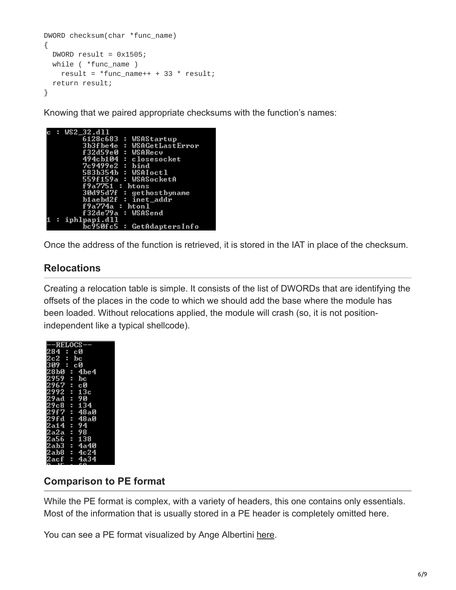```
DWORD checksum(char *func_name)
{
 DWORD result = 0x1505;
 while ( *func_name )
   result = *func_name++ + 33 * result;return result;
}
```
Knowing that we paired appropriate checksums with the function's names:

| : WS2_32.dll               |
|----------------------------|
| 6128c683 : WSAStartup      |
| 3b3fbe4e : WSAGetLastError |
| f32d59e0 : WSARecv         |
| 494cb104 : closesocket     |
| $7c9499e2$ : bind          |
| 583b354b : WSAIoct1        |
| 559f159a : WSASocketA      |
| f9a7751 : <b>htons</b>     |
| 30d95d7f : gethostbyname   |
| blaebd2f : inet_addr       |
| f9a774a : htonl            |
| f32de79a : WSASend         |
| $:$ iphlpapi.dll           |
| bc950fc5 : GetAdaptersInfo |

Once the address of the function is retrieved, it is stored in the IAT in place of the checksum.

## **Relocations**

Creating a relocation table is simple. It consists of the list of DWORDs that are identifying the offsets of the places in the code to which we should add the base where the module has been loaded. Without relocations applied, the module will crash (so, it is not positionindependent like a typical shellcode).

| <b>-RELOCS</b> |                                                                                                            |
|----------------|------------------------------------------------------------------------------------------------------------|
|                | c0<br>bc<br>c0                                                                                             |
|                |                                                                                                            |
|                |                                                                                                            |
|                |                                                                                                            |
|                |                                                                                                            |
|                |                                                                                                            |
|                |                                                                                                            |
|                |                                                                                                            |
|                |                                                                                                            |
|                |                                                                                                            |
|                |                                                                                                            |
|                |                                                                                                            |
|                |                                                                                                            |
|                |                                                                                                            |
|                |                                                                                                            |
|                | : 1be4<br>: : 08<br>: 09<br>: 13c<br>94 48a8<br>48a8<br>: 48a9<br>: 4a34<br>: 4a34<br>: 138<br>: 4a34<br>Ì |
|                |                                                                                                            |
|                |                                                                                                            |

## **Comparison to PE format**

While the PE format is complex, with a variety of headers, this one contains only essentials. Most of the information that is usually stored in a PE header is completely omitted here.

You can see a PE format visualized by Ange Albertini [here.](https://raw.githubusercontent.com/corkami/pics/master/binary/PE101.png)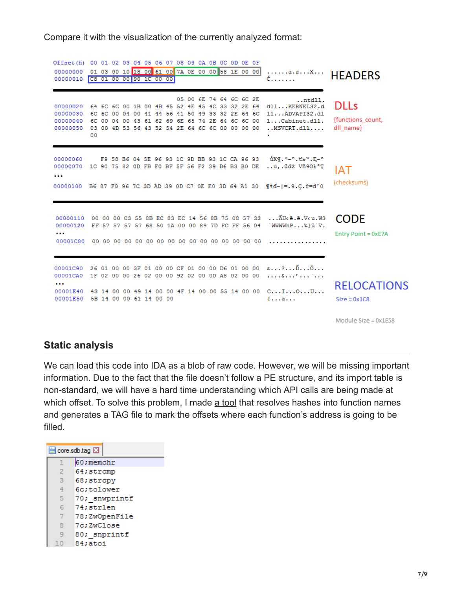Compare it with the visualization of the currently analyzed format:

Offset (h) 00 01 02 03 04 05 06 07 08 09 0A 0B 0C 0D OE OF 00000000 01 03 00 10 18 00 61 00 7A 0E 00 00 58 1E 00 00  $...,...,a.z...X...$ **HEADERS** 00000010 C8 01 00 00 90 1C 00 00 č. . . . . . . 05 00 6E 74 64 6C 6C 2E  $...$ ntdll. **DLLs** 00000020 64 6C 6C 00 1B 00 4B 45 52 4E 45 4C 33 32 2E 64 dll...KERNEL32.d 00000030 6C 6C 00 04 00 41 44 56 41 50 49 33 32 2E 64 6C  $11...$ ADVAPI32.dl {functions\_count, 00000040 6C 00 04 00 43 61 62 69 6E 65 74 2E 64 6C 6C 00 1...Cabinet.dll. 00000050 03 00 4D 53 56 43 52 54 2E 64 6C 6C 00 00 00 00 ... MSVCRT.dll.... dll name}  $00$ 00000060 F9 58 B6 04 5E 96 93 1C 9D BB 93 1C CA 96 93 ůXI. ^- ". t» ". E- " 00000070 1C 90 75 82 0D FB F0 BF 5F 56 F2 39 D6 B3 B0 DE ..u,. údž Vň9Öł°T **IAT**  $\cdots$ (checksums) 00000100 B6 87 F0 96 7C 3D AD 39 0D C7 0E E0 3D 64 A1 30  $\Pi d-|=.9. C. \dot{x}=d^{\circ}0$ 00000110 00 00 00 C3 55 8B EC 83 EC 14 56 8B 75 08 57 33 ... AU< B.E.V<u.W3 **CODE** 00000120 FF 57 57 57 57 68 50 1A 00 00 89 7D FC FF 56 04 WWWW.hP...%}üW.  $\sim$ Entry Point = 0xE7A 00001C90 26 01 00 00 3F 01 00 00 CF 01 00 00 D6 01 00 00 6...?...D...O... 00001CA0 1F 02 00 00 26 02 00 00 92 02 00 00 A8 02 00 00 ....&...'..."... **RELOCATIONS** 00001E40 43 14 00 00 49 14 00 00 4F 14 00 00 55 14 00 00 C...I...O...U... 00001E50 5B 14 00 00 61 14 00 00  $[...a...]$  $Size = 0x1C8$ 

Module Size = 0x1E58

#### **Static analysis**

We can load this code into IDA as a blob of raw code. However, we will be missing important information. Due to the fact that the file doesn't follow a PE structure, and its import table is non-standard, we will have a hard time understanding which API calls are being made at which offset. To solve this problem, I made [a tool](https://github.com/hasherezade/bee_parser) that resolves hashes into function names and generates a TAG file to mark the offsets where each function's address is going to be filled.

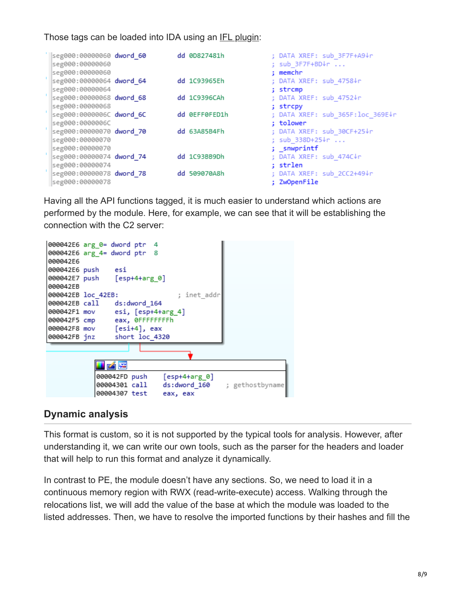#### Those tags can be loaded into IDA using an [IFL plugin:](https://github.com/hasherezade/ida_ifl)

|             | seg000:00000060 dword 60<br>seg000:00000060<br>seg000:00000060 |  | dd 0D827481h  | ; DATA XREF: sub 3F7F+A9↓r<br>; sub 3F7F+BD↓r<br>; memchr |
|-------------|----------------------------------------------------------------|--|---------------|-----------------------------------------------------------|
| <b>COL</b>  | seg000:00000064 dword 64<br>seg000:00000064                    |  | dd 1C93965Eh  | ; DATA XREF: sub 4758↓r<br>; strcmp                       |
| - 11        | seg000:00000068 dword 68<br>Seg000:00000068                    |  | dd 1C9396CAh  | ; DATA XREF: sub 4752↓r<br>; strcpy                       |
| $\sim 10^4$ | seg000:0000006C dword 6C                                       |  | dd ØEFFØFED1h | ; DATA XREF: sub 365F:loc 369E↓r                          |
|             | seg000:0000006C<br>seg000:00000070 dword 70                    |  | dd 63A85B4Fh  | : tolower<br>; DATA XREF: sub 30CF+25↓r                   |
|             | Seg000:00000070<br>seg000:00000070                             |  |               | ; sub 338D+25↓r<br>; _snwprintf                           |
|             | seg000:00000074 dword 74<br>Seg000:00000074                    |  | dd 1C93BB9Dh  | ; DATA XREF: sub 474C↓r<br>: strlen                       |
| <b>COL</b>  | seg000:00000078 dword 78<br>seg000:00000078                    |  | dd 509070A8h  | ; DATA XREF: sub 2CC2+49↓r<br>; ZwOpenFile                |

Having all the API functions tagged, it is much easier to understand which actions are performed by the module. Here, for example, we can see that it will be establishing the connection with the C2 server:



#### **Dynamic analysis**

This format is custom, so it is not supported by the typical tools for analysis. However, after understanding it, we can write our own tools, such as the parser for the headers and loader that will help to run this format and analyze it dynamically.

In contrast to PE, the module doesn't have any sections. So, we need to load it in a continuous memory region with RWX (read-write-execute) access. Walking through the relocations list, we will add the value of the base at which the module was loaded to the listed addresses. Then, we have to resolve the imported functions by their hashes and fill the